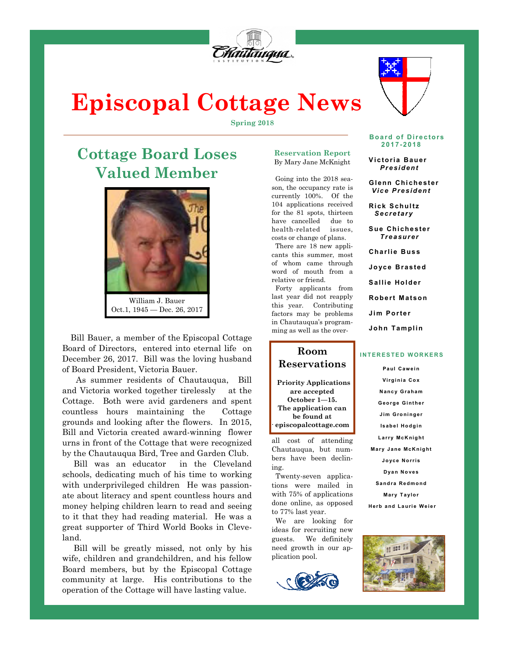

# **Episcopal Cottage News**

**Spring 2018** 

# **Cottage Board Loses Valued Member**



Oct.1, 1945 — Dec. 26, 2017

 Bill Bauer, a member of the Episcopal Cottage Board of Directors, entered into eternal life on December 26, 2017. Bill was the loving husband of Board President, Victoria Bauer.

 As summer residents of Chautauqua, Bill and Victoria worked together tirelessly at the Cottage. Both were avid gardeners and spent countless hours maintaining the Cottage grounds and looking after the flowers. In 2015, Bill and Victoria created award-winning flower urns in front of the Cottage that were recognized by the Chautauqua Bird, Tree and Garden Club.

 Bill was an educator in the Cleveland schools, dedicating much of his time to working with underprivileged children He was passionate about literacy and spent countless hours and money helping children learn to read and seeing to it that they had reading material. He was a great supporter of Third World Books in Cleveland.

 Bill will be greatly missed, not only by his wife, children and grandchildren, and his fellow Board members, but by the Episcopal Cottage community at large. His contributions to the operation of the Cottage will have lasting value.

#### **Reservation Report**  By Mary Jane McKnight

 Going into the 2018 season, the occupancy rate is currently 100%. Of the 104 applications received for the 81 spots, thirteen have cancelled due to health-related issues, costs or change of plans.

 There are 18 new applicants this summer, most of whom came through word of mouth from a relative or friend.

 Forty applicants from last year did not reapply this year. Contributing factors may be problems in Chautauqua's programming as well as the over-

# **Room Reservations**

**Priority Applications are accepted October 1—15. The application can be found at episcopalcottage.com**  .

all cost of attending Chautauqua, but numbers have been declining.

 Twenty-seven applications were mailed in with 75% of applications done online, as opposed to 77% last year.

 We are looking for ideas for recruiting new guests. We definitely need growth in our application pool.





**Board of Directors 2 0 1 7- 2 01 8** 

 **V i c to ri a B au er** *P r e si d en t* 

**Gl enn Chi ch e st e r** *V i c e P re si d en t* 

**Rick Schultz** *S e cr e t ar y* 

**Sue Chichester** *T re a sur e r* 

 **Ch a rl i e B us s** 

 **Jo yc e B ra s te d** 

Sallie Holder

**Robert Matson** 

 **Ji m P o r te r** 

**John Tamplin** 

#### **INTERESTED WORKERS**

**Pa ul C a w e i n Vi rg i ni a C o x N a nc y G ra ha m G e o rg e G i nt he r Jim Groninger Isabel Hodgin** Larry Mc**Knight Mary Jane McKnight J o yc e N o r ri s D ya n N o ve s Sa nd ra R e d mo nd Mary Taylor** 

**Herb and Laurie Weier** 

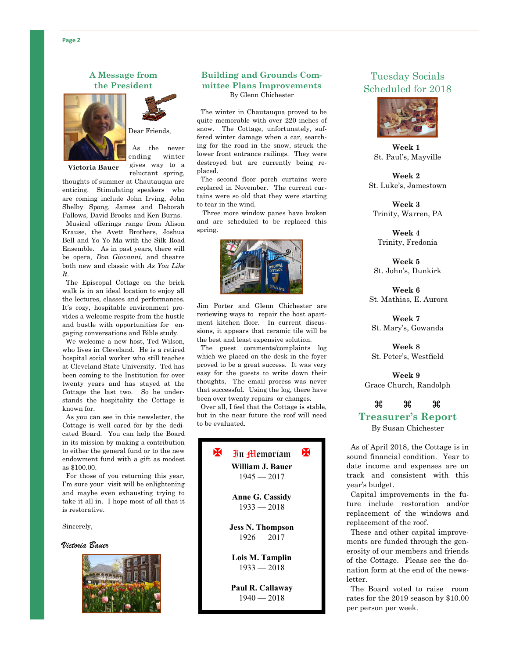### **A Message from the President**



Dear Friends,

 As the never ending winter

**Victoria Bauer**

gives way to a reluctant spring,

thoughts of summer at Chautauqua are enticing. Stimulating speakers who are coming include John Irving, John Shelby Spong, James and Deborah Fallows, David Brooks and Ken Burns.

 Musical offerings range from Alison Krause, the Avett Brothers, Joshua Bell and Yo Yo Ma with the Silk Road Ensemble. As in past years, there will be opera, *Don Giovanni*, and theatre both new and classic with *As You Like It.* 

 The Episcopal Cottage on the brick walk is in an ideal location to enjoy all the lectures, classes and performances. It's cozy, hospitable environment provides a welcome respite from the hustle and bustle with opportunities for engaging conversations and Bible study.

 We welcome a new host, Ted Wilson, who lives in Cleveland. He is a retired hospital social worker who still teaches at Cleveland State University. Ted has been coming to the Institution for over twenty years and has stayed at the Cottage the last two. So he understands the hospitality the Cottage is known for.

 As you can see in this newsletter, the Cottage is well cared for by the dedicated Board. You can help the Board in its mission by making a contribution to either the general fund or to the new endowment fund with a gift as modest as \$100.00.

 For those of you returning this year, I'm sure your visit will be enlightening and maybe even exhausting trying to take it all in. I hope most of all that it is restorative.

Sincerely,

#### *Victoria Bauer*



#### **Building and Grounds Committee Plans Improvements**  By Glenn Chichester

 The winter in Chautauqua proved to be quite memorable with over 220 inches of snow. The Cottage, unfortunately, suffered winter damage when a car, searching for the road in the snow, struck the lower front entrance railings. They were destroyed but are currently being replaced.

 The second floor porch curtains were replaced in November. The current curtains were so old that they were starting to tear in the wind.

 Three more window panes have broken and are scheduled to be replaced this spring.



Jim Porter and Glenn Chichester are reviewing ways to repair the host apartment kitchen floor. In current discussions, it appears that ceramic tile will be the best and least expensive solution.

 The guest comments/complaints log which we placed on the desk in the foyer proved to be a great success. It was very easy for the guests to write down their thoughts, The email process was never that successful. Using the log, there have been over twenty repairs or changes.

 Over all, I feel that the Cottage is stable, but in the near future the roof will need to be evaluated.



# Tuesday Socials Scheduled for 2018



**Week 1**  St. Paul's, Mayville

**Week 2**  St. Luke's, Jamestown

**Week 3**  Trinity, Warren, PA

**Week 4**  Trinity, Fredonia

**Week 5**  St. John's, Dunkirk

**Week 6** St. Mathias, E. Aurora

**Week 7** St. Mary's, Gowanda

**Week 8** St. Peter's, Westfield

**Week 9**  Grace Church, Randolph

# $\begin{array}{ccc} \mathcal{H} & \mathcal{H} & \mathcal{H} \end{array}$

#### **Treasurer's Report**

By Susan Chichester

 As of April 2018, the Cottage is in sound financial condition. Year to date income and expenses are on track and consistent with this year's budget.

 Capital improvements in the future include restoration and/or replacement of the windows and replacement of the roof.

 These and other capital improvements are funded through the generosity of our members and friends of the Cottage. Please see the donation form at the end of the newsletter.

 The Board voted to raise room rates for the 2019 season by \$10.00 per person per week.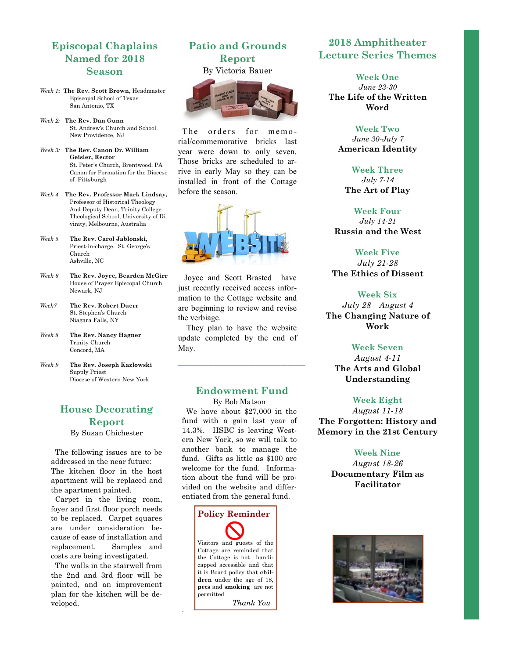# **Episcopal Chaplains Named for 2018 Season**

- *Week 1***: The Rev. Scott Brown,** Headmaster Episcopal School of Texas San Antonio, TX
- *Week 2:* **The Rev. Dan Gunn**  St. Andrew's Church and School New Providence, NJ
- *Week 3:* **The Rev. Canon Dr. William Geisler, Rector**  St. Peter's Church, Brentwood, PA Canon for Formation for the Diocese of Pittsburgh
- *Week 4* **The Rev. Professor Mark Lindsay,**  Professor of Historical Theology And Deputy Dean, Trinity College Theological School, University of Di vinity, Melbourne, Australia
- *Week 5* **The Rev. Carol Jablonski,**  Priest-in-charge, St. George's Church Ashville, NC
- *Week 6* **The Rev. Joyce, Bearden McGirr**  House of Prayer Episcopal Church Newark, NJ
- *Week7* **The Rev. Robert Duerr**  St. Stephen's Church Niagara Falls, NY
- *Week 8* **The Rev. Nancy Hagner**  Trinity Church Concord, MA
- *Week 9* **The Rev. Joseph Kazlowski**  Supply Priest Diocese of Western New York

# **House Decorating Report**

By Susan Chichester

 The following issues are to be addressed in the near future: The kitchen floor in the host apartment will be replaced and the apartment painted.

 Carpet in the living room, foyer and first floor porch needs to be replaced. Carpet squares are under consideration because of ease of installation and replacement. Samples and costs are being investigated.

 The walls in the stairwell from the 2nd and 3rd floor will be painted, and an improvement plan for the kitchen will be developed.

# **Patio and Grounds Report**  By Victoria Bauer



The orders for memorial/commemorative bricks last year were down to only seven. Those bricks are scheduled to arrive in early May so they can be installed in front of the Cottage before the season.



 Joyce and Scott Brasted have just recently received access information to the Cottage website and are beginning to review and revise the verbiage.

 They plan to have the website update completed by the end of May.

# **Endowment Fund**

\_\_\_\_\_\_\_\_\_\_\_\_\_\_\_\_\_\_\_\_\_\_\_\_\_\_\_\_\_\_\_\_\_\_\_\_

By Bob Matson We have about \$27,000 in the fund with a gain last year of 14.3%. HSBC is leaving Western New York, so we will talk to another bank to manage the fund. Gifts as little as \$100 are welcome for the fund. Information about the fund will be provided on the website and differentiated from the general fund.



.

# **2018 Amphitheater Lecture Series Themes**

**Week One**  *June 23-30*  **The Life of the Written Word** 

**Week Two**  *June 30-July 7*  **American Identity** 

**Week Three**  *July 7-14*  **The Art of Play** 

**Week Four**  *July 14-21*  **Russia and the West** 

**Week Five**  *July 21-28*  **The Ethics of Dissent** 

#### **Week Six**

*July 28—August 4*  **The Changing Nature of Work** 

### **Week Seven**

*August 4-11*  **The Arts and Global Understanding** 

#### **Week Eight**

*August 11-18*  **The Forgotten: History and Memory in the 21st Century** 

#### **Week Nine**

*August 18-26*  **Documentary Film as Facilitator**